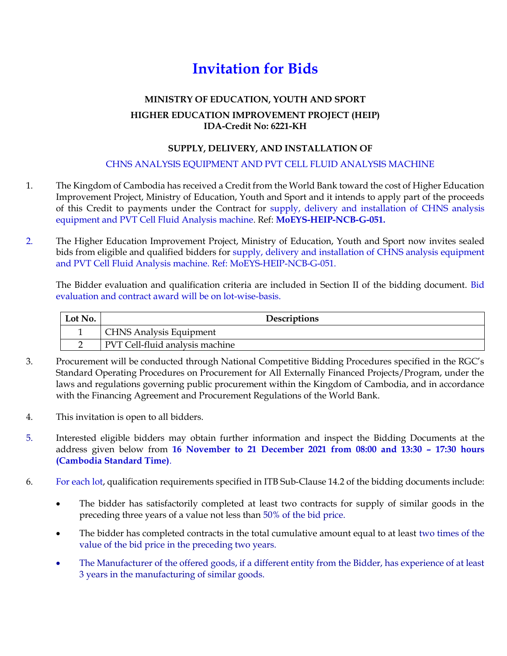# **Invitation for Bids**

#### **MINISTRY OF EDUCATION, YOUTH AND SPORT**

# **HIGHER EDUCATION IMPROVEMENT PROJECT (HEIP) IDA-Credit No: 6221-KH**

## **SUPPLY, DELIVERY, AND INSTALLATION OF**

## CHNS ANALYSIS EQUIPMENT AND PVT CELL FLUID ANALYSIS MACHINE

- 1. The Kingdom of Cambodia has received a Credit from the World Bank toward the cost of Higher Education Improvement Project, Ministry of Education, Youth and Sport and it intends to apply part of the proceeds of this Credit to payments under the Contract for supply, delivery and installation of CHNS analysis equipment and PVT Cell Fluid Analysis machine. Ref: **MoEYS-HEIP-NCB-G-051.**
- 2. The Higher Education Improvement Project, Ministry of Education, Youth and Sport now invites sealed bids from eligible and qualified bidders for supply, delivery and installation of CHNS analysis equipment and PVT Cell Fluid Analysis machine. Ref: MoEYS-HEIP-NCB-G-051.

The Bidder evaluation and qualification criteria are included in Section II of the bidding document. Bid evaluation and contract award will be on lot-wise-basis.

| Lot No. | Descriptions                    |
|---------|---------------------------------|
|         | <b>CHNS Analysis Equipment</b>  |
|         | PVT Cell-fluid analysis machine |

- 3. Procurement will be conducted through National Competitive Bidding Procedures specified in the RGC's Standard Operating Procedures on Procurement for All Externally Financed Projects/Program, under the laws and regulations governing public procurement within the Kingdom of Cambodia, and in accordance with the Financing Agreement and Procurement Regulations of the World Bank.
- 4. This invitation is open to all bidders.
- 5. Interested eligible bidders may obtain further information and inspect the Bidding Documents at the address given below from **16 November to 21 December 2021 from 08:00 and 13:30 – 17:30 hours (Cambodia Standard Time)**.
- 6. For each lot, qualification requirements specified in ITB Sub-Clause 14.2 of the bidding documents include:
	- The bidder has satisfactorily completed at least two contracts for supply of similar goods in the preceding three years of a value not less than 50% of the bid price.
	- The bidder has completed contracts in the total cumulative amount equal to at least two times of the value of the bid price in the preceding two years.
	- The Manufacturer of the offered goods, if a different entity from the Bidder, has experience of at least 3 years in the manufacturing of similar goods.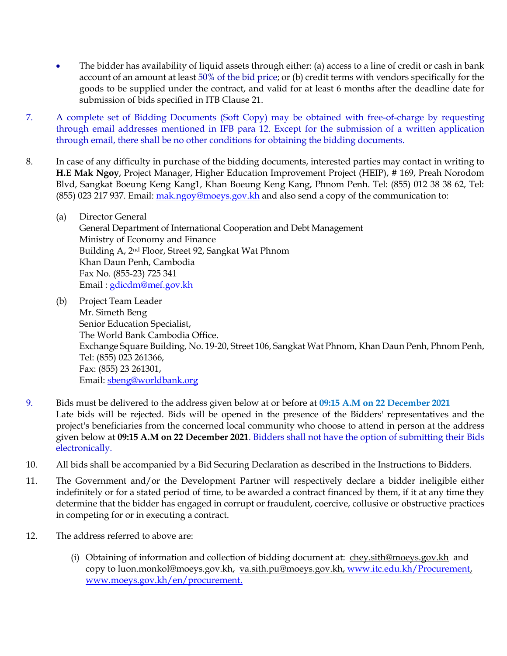- The bidder has availability of liquid assets through either: (a) access to a line of credit or cash in bank account of an amount at least 50% of the bid price; or (b) credit terms with vendors specifically for the goods to be supplied under the contract, and valid for at least 6 months after the deadline date for submission of bids specified in ITB Clause 21.
- 7. A complete set of Bidding Documents (Soft Copy) may be obtained with free-of-charge by requesting through email addresses mentioned in IFB para 12. Except for the submission of a written application through email, there shall be no other conditions for obtaining the bidding documents.
- 8. In case of any difficulty in purchase of the bidding documents, interested parties may contact in writing to **H.E Mak Ngoy**, Project Manager, Higher Education Improvement Project (HEIP), # 169, Preah Norodom Blvd, Sangkat Boeung Keng Kang1, Khan Boeung Keng Kang, Phnom Penh. Tel: (855) 012 38 38 62, Tel: (855) 023 217 937. Email: [mak.ngoy@moeys.gov.kh](mailto:mak.ngoy@moeys.gov.kh) and also send a copy of the communication to:
	- (a) Director General General Department of International Cooperation and Debt Management Ministry of Economy and Finance Building A, 2nd Floor, Street 92, Sangkat Wat Phnom Khan Daun Penh, Cambodia Fax No. (855-23) 725 341 Email : [gdicdm@mef.gov.kh](mailto:gdicdm@mef.gov.kh)
	- (b) Project Team Leader Mr. Simeth Beng Senior Education Specialist, The World Bank Cambodia Office. Exchange Square Building, No. 19-20, Street 106, Sangkat Wat Phnom, Khan Daun Penh, Phnom Penh, Tel: (855) 023 261366, Fax: (855) 23 261301, Email[: sbeng@worldbank.org](mailto:sbeng@worldbank.org)
- 9. Bids must be delivered to the address given below at or before at **09:15 A.M on 22 December 2021** Late bids will be rejected. Bids will be opened in the presence of the Bidders' representatives and the project's beneficiaries from the concerned local community who choose to attend in person at the address given below at **09:15 A.M on 22 December 2021**. Bidders shall not have the option of submitting their Bids electronically.
- 10. All bids shall be accompanied by a Bid Securing Declaration as described in the Instructions to Bidders.
- 11. The Government and/or the Development Partner will respectively declare a bidder ineligible either indefinitely or for a stated period of time, to be awarded a contract financed by them, if it at any time they determine that the bidder has engaged in corrupt or fraudulent, coercive, collusive or obstructive practices in competing for or in executing a contract.
- 12. The address referred to above are:
	- (i) Obtaining of information and collection of bidding document at: [chey.sith@moeys.gov.kh](mailto:chey.sith@moeys.gov.kh) and copy to luon.monkol@moeys.gov.kh, [va.sith.pu@moeys.gov.kh,](mailto:va.sith.pu@moeys.gov.kh) [www.itc.edu.kh/Procurement,](http://www.itc.edu.kh/Procurement) [www.moeys.gov.kh/en/procurement.](http://www.moeys.gov.kh/en/procurement)